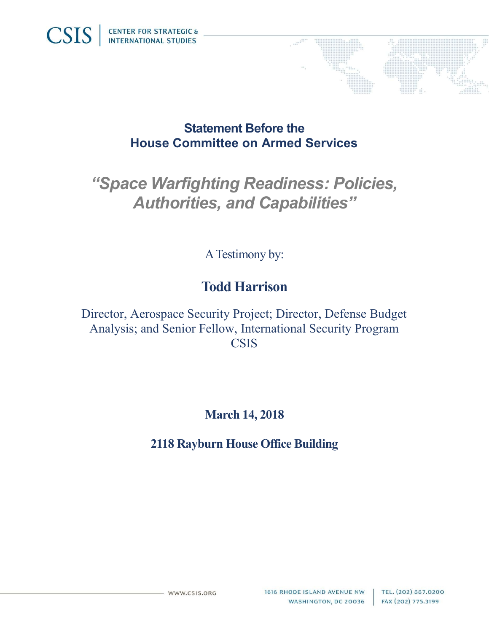

### Statement Before the House Committee on Armed Services

# "Space Warfighting Readiness: Policies, Authorities, and Capabilities"

A Testimony by:

## Todd Harrison

Director, Aerospace Security Project; Director, Defense Budget Analysis; and Senior Fellow, International Security Program **CSIS** 

March 14, 2018

2118 Rayburn House Office Building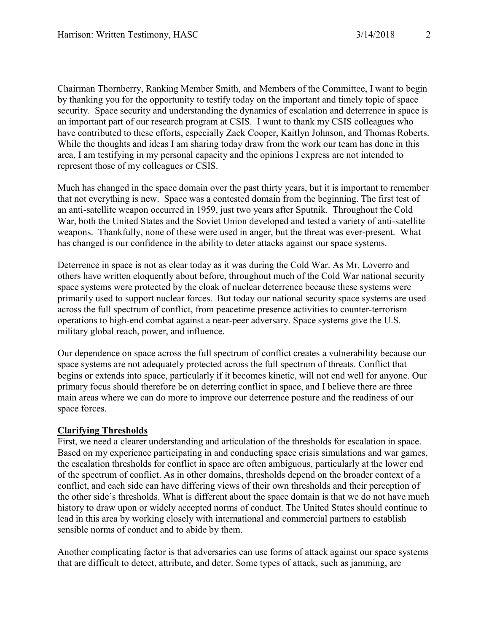Chairman Thornberry, Ranking Member Smith, and Members of the Committee, I want to begin by thanking you for the opportunity to testify today on the important and timely topic of space security. Space security and understanding the dynamics of escalation and deterrence in space is an important part of our research program at CSIS. I want to thank my CSIS colleagues who have contributed to these efforts, especially Zack Cooper, Kaitlyn Johnson, and Thomas Roberts. While the thoughts and ideas I am sharing today draw from the work our team has done in this area, I am testifying in my personal capacity and the opinions I express are not intended to represent those of my colleagues or CSIS.

Much has changed in the space domain over the past thirty years, but it is important to remember that not everything is new. Space was a contested domain from the beginning. The first test of an anti-satellite weapon occurred in 1959, just two years after Sputnik. Throughout the Cold War, both the United States and the Soviet Union developed and tested a variety of anti-satellite weapons. Thankfully, none of these were used in anger, but the threat was ever-present. What has changed is our confidence in the ability to deter attacks against our space systems.

Deterrence in space is not as clear today as it was during the Cold War. As Mr. Loverro and others have written eloquently about before, throughout much of the Cold War national security space systems were protected by the cloak of nuclear deterrence because these systems were primarily used to support nuclear forces. But today our national security space systems are used across the full spectrum of conflict, from peacetime presence activities to counter-terrorism operations to high-end combat against a near-peer adversary. Space systems give the U.S. military global reach, power, and influence.

Our dependence on space across the full spectrum of conflict creates a vulnerability because our space systems are not adequately protected across the full spectrum of threats. Conflict that begins or extends into space, particularly if it becomes kinetic, will not end well for anyone. Our primary focus should therefore be on deterring conflict in space, and I believe there are three main areas where we can do more to improve our deterrence posture and the readiness of our space forces.

#### Clarifying Thresholds

First, we need a clearer understanding and articulation of the thresholds for escalation in space. Based on my experience participating in and conducting space crisis simulations and war games, the escalation thresholds for conflict in space are often ambiguous, particularly at the lower end of the spectrum of conflict. As in other domains, thresholds depend on the broader context of a conflict, and each side can have differing views of their own thresholds and their perception of the other side's thresholds. What is different about the space domain is that we do not have much history to draw upon or widely accepted norms of conduct. The United States should continue to lead in this area by working closely with international and commercial partners to establish sensible norms of conduct and to abide by them.

Another complicating factor is that adversaries can use forms of attack against our space systems that are difficult to detect, attribute, and deter. Some types of attack, such as jamming, are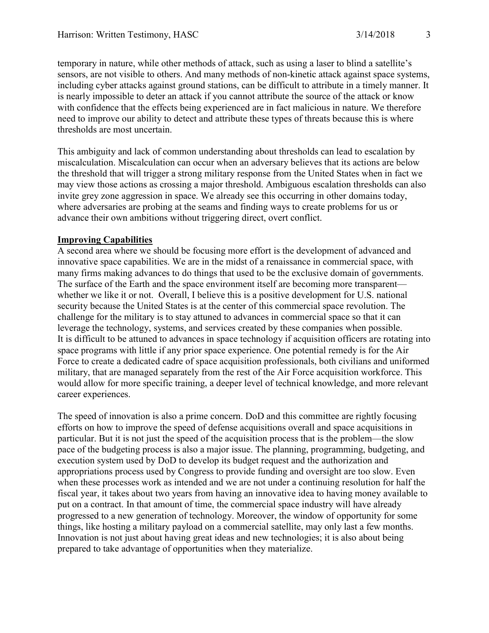temporary in nature, while other methods of attack, such as using a laser to blind a satellite's sensors, are not visible to others. And many methods of non-kinetic attack against space systems, including cyber attacks against ground stations, can be difficult to attribute in a timely manner. It is nearly impossible to deter an attack if you cannot attribute the source of the attack or know with confidence that the effects being experienced are in fact malicious in nature. We therefore need to improve our ability to detect and attribute these types of threats because this is where thresholds are most uncertain.

This ambiguity and lack of common understanding about thresholds can lead to escalation by miscalculation. Miscalculation can occur when an adversary believes that its actions are below the threshold that will trigger a strong military response from the United States when in fact we may view those actions as crossing a major threshold. Ambiguous escalation thresholds can also invite grey zone aggression in space. We already see this occurring in other domains today, where adversaries are probing at the seams and finding ways to create problems for us or advance their own ambitions without triggering direct, overt conflict.

#### Improving Capabilities

A second area where we should be focusing more effort is the development of advanced and innovative space capabilities. We are in the midst of a renaissance in commercial space, with many firms making advances to do things that used to be the exclusive domain of governments. The surface of the Earth and the space environment itself are becoming more transparent whether we like it or not. Overall, I believe this is a positive development for U.S. national security because the United States is at the center of this commercial space revolution. The challenge for the military is to stay attuned to advances in commercial space so that it can leverage the technology, systems, and services created by these companies when possible. It is difficult to be attuned to advances in space technology if acquisition officers are rotating into space programs with little if any prior space experience. One potential remedy is for the Air Force to create a dedicated cadre of space acquisition professionals, both civilians and uniformed military, that are managed separately from the rest of the Air Force acquisition workforce. This would allow for more specific training, a deeper level of technical knowledge, and more relevant career experiences.

The speed of innovation is also a prime concern. DoD and this committee are rightly focusing efforts on how to improve the speed of defense acquisitions overall and space acquisitions in particular. But it is not just the speed of the acquisition process that is the problem—the slow pace of the budgeting process is also a major issue. The planning, programming, budgeting, and execution system used by DoD to develop its budget request and the authorization and appropriations process used by Congress to provide funding and oversight are too slow. Even when these processes work as intended and we are not under a continuing resolution for half the fiscal year, it takes about two years from having an innovative idea to having money available to put on a contract. In that amount of time, the commercial space industry will have already progressed to a new generation of technology. Moreover, the window of opportunity for some things, like hosting a military payload on a commercial satellite, may only last a few months. Innovation is not just about having great ideas and new technologies; it is also about being prepared to take advantage of opportunities when they materialize.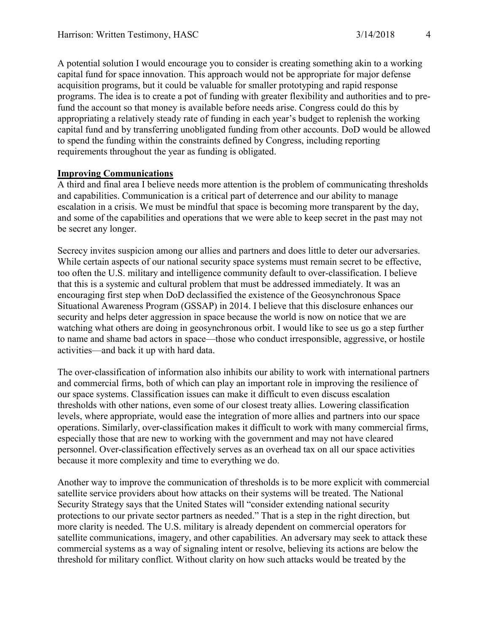A potential solution I would encourage you to consider is creating something akin to a working capital fund for space innovation. This approach would not be appropriate for major defense acquisition programs, but it could be valuable for smaller prototyping and rapid response programs. The idea is to create a pot of funding with greater flexibility and authorities and to prefund the account so that money is available before needs arise. Congress could do this by appropriating a relatively steady rate of funding in each year's budget to replenish the working capital fund and by transferring unobligated funding from other accounts. DoD would be allowed to spend the funding within the constraints defined by Congress, including reporting requirements throughout the year as funding is obligated.

#### Improving Communications

A third and final area I believe needs more attention is the problem of communicating thresholds and capabilities. Communication is a critical part of deterrence and our ability to manage escalation in a crisis. We must be mindful that space is becoming more transparent by the day, and some of the capabilities and operations that we were able to keep secret in the past may not be secret any longer.

Secrecy invites suspicion among our allies and partners and does little to deter our adversaries. While certain aspects of our national security space systems must remain secret to be effective, too often the U.S. military and intelligence community default to over-classification. I believe that this is a systemic and cultural problem that must be addressed immediately. It was an encouraging first step when DoD declassified the existence of the Geosynchronous Space Situational Awareness Program (GSSAP) in 2014. I believe that this disclosure enhances our security and helps deter aggression in space because the world is now on notice that we are watching what others are doing in geosynchronous orbit. I would like to see us go a step further to name and shame bad actors in space—those who conduct irresponsible, aggressive, or hostile activities—and back it up with hard data.

The over-classification of information also inhibits our ability to work with international partners and commercial firms, both of which can play an important role in improving the resilience of our space systems. Classification issues can make it difficult to even discuss escalation thresholds with other nations, even some of our closest treaty allies. Lowering classification levels, where appropriate, would ease the integration of more allies and partners into our space operations. Similarly, over-classification makes it difficult to work with many commercial firms, especially those that are new to working with the government and may not have cleared personnel. Over-classification effectively serves as an overhead tax on all our space activities because it more complexity and time to everything we do.

Another way to improve the communication of thresholds is to be more explicit with commercial satellite service providers about how attacks on their systems will be treated. The National Security Strategy says that the United States will "consider extending national security protections to our private sector partners as needed." That is a step in the right direction, but more clarity is needed. The U.S. military is already dependent on commercial operators for satellite communications, imagery, and other capabilities. An adversary may seek to attack these commercial systems as a way of signaling intent or resolve, believing its actions are below the threshold for military conflict. Without clarity on how such attacks would be treated by the